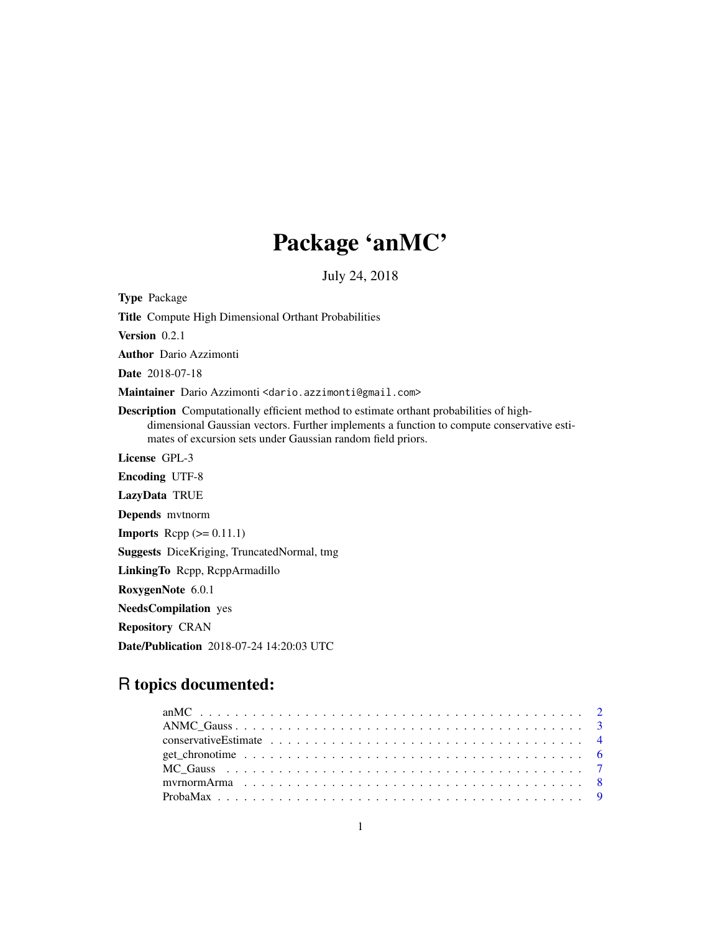# Package 'anMC'

July 24, 2018

<span id="page-0-0"></span>Type Package Title Compute High Dimensional Orthant Probabilities Version 0.2.1 Author Dario Azzimonti Date 2018-07-18 Maintainer Dario Azzimonti <dario.azzimonti@gmail.com> Description Computationally efficient method to estimate orthant probabilities of highdimensional Gaussian vectors. Further implements a function to compute conservative estimates of excursion sets under Gaussian random field priors. License GPL-3 Encoding UTF-8 LazyData TRUE Depends mvtnorm **Imports** Rcpp  $(>= 0.11.1)$ Suggests DiceKriging, TruncatedNormal, tmg LinkingTo Rcpp, RcppArmadillo RoxygenNote 6.0.1 NeedsCompilation yes Repository CRAN Date/Publication 2018-07-24 14:20:03 UTC

# R topics documented: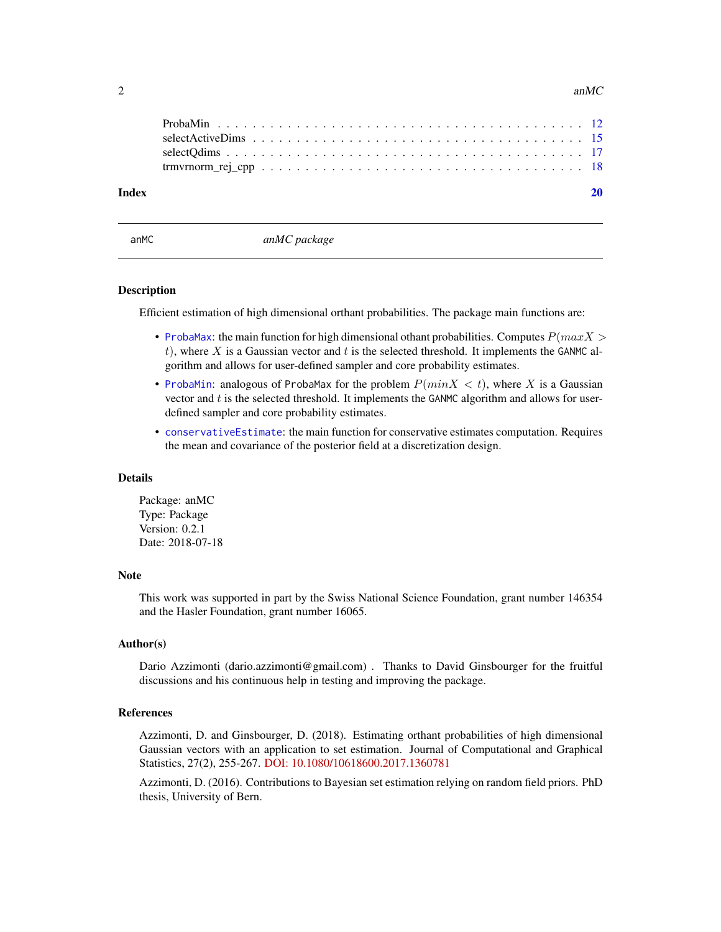<span id="page-1-0"></span>

| Index |  |
|-------|--|
|       |  |
|       |  |
|       |  |
|       |  |
|       |  |

anMC *anMC package*

#### Description

Efficient estimation of high dimensional orthant probabilities. The package main functions are:

- [ProbaMax](#page-8-1): the main function for high dimensional othant probabilities. Computes  $P(maxX >$ t), where X is a Gaussian vector and t is the selected threshold. It implements the GANMC algorithm and allows for user-defined sampler and core probability estimates.
- Probamin: analogous of Probamax for the problem  $P(minX < t)$ , where X is a Gaussian vector and  $t$  is the selected threshold. It implements the GANMC algorithm and allows for userdefined sampler and core probability estimates.
- [conservativeEstimate](#page-3-1): the main function for conservative estimates computation. Requires the mean and covariance of the posterior field at a discretization design.

#### Details

Package: anMC Type: Package Version: 0.2.1 Date: 2018-07-18

# Note

This work was supported in part by the Swiss National Science Foundation, grant number 146354 and the Hasler Foundation, grant number 16065.

# Author(s)

Dario Azzimonti (dario.azzimonti@gmail.com) . Thanks to David Ginsbourger for the fruitful discussions and his continuous help in testing and improving the package.

# References

Azzimonti, D. and Ginsbourger, D. (2018). Estimating orthant probabilities of high dimensional Gaussian vectors with an application to set estimation. Journal of Computational and Graphical Statistics, 27(2), 255-267. [DOI: 10.1080/10618600.2017.1360781](https://doi.org/10.1080/10618600.2017.1360781)

Azzimonti, D. (2016). Contributions to Bayesian set estimation relying on random field priors. PhD thesis, University of Bern.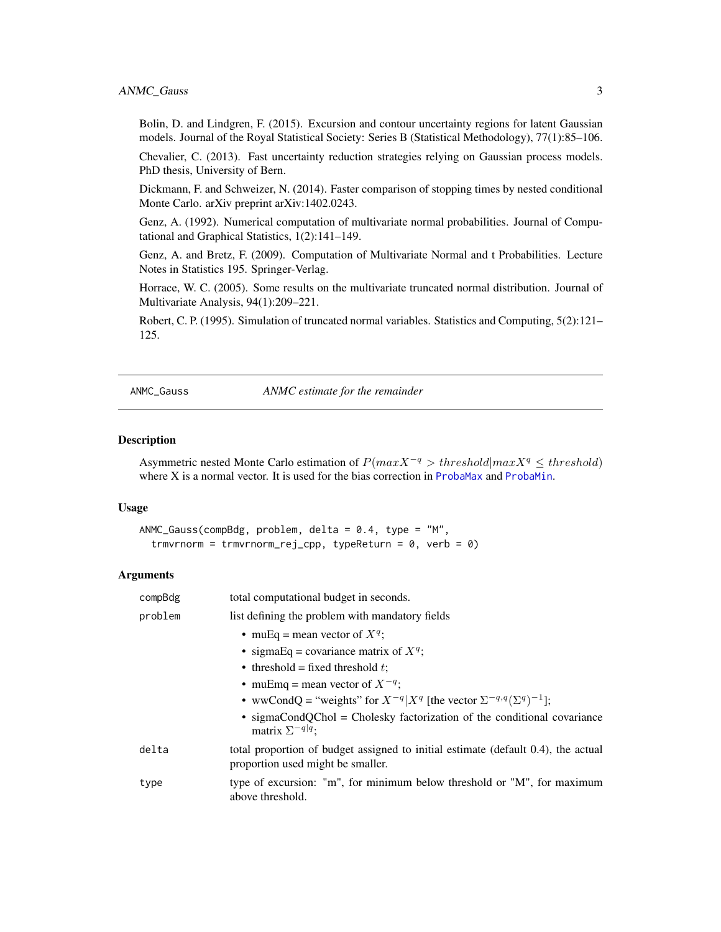# <span id="page-2-0"></span>ANMC\_Gauss 3

Bolin, D. and Lindgren, F. (2015). Excursion and contour uncertainty regions for latent Gaussian models. Journal of the Royal Statistical Society: Series B (Statistical Methodology), 77(1):85–106.

Chevalier, C. (2013). Fast uncertainty reduction strategies relying on Gaussian process models. PhD thesis, University of Bern.

Dickmann, F. and Schweizer, N. (2014). Faster comparison of stopping times by nested conditional Monte Carlo. arXiv preprint arXiv:1402.0243.

Genz, A. (1992). Numerical computation of multivariate normal probabilities. Journal of Computational and Graphical Statistics, 1(2):141–149.

Genz, A. and Bretz, F. (2009). Computation of Multivariate Normal and t Probabilities. Lecture Notes in Statistics 195. Springer-Verlag.

Horrace, W. C. (2005). Some results on the multivariate truncated normal distribution. Journal of Multivariate Analysis, 94(1):209–221.

Robert, C. P. (1995). Simulation of truncated normal variables. Statistics and Computing, 5(2):121– 125.

<span id="page-2-1"></span>

ANMC\_Gauss *ANMC estimate for the remainder*

#### Description

Asymmetric nested Monte Carlo estimation of  $P(max X^{-q} > threshold | max X^{q} \leq threshold)$ where X is a normal vector. It is used for the bias correction in [ProbaMax](#page-8-1) and [ProbaMin](#page-11-1).

# Usage

```
ANMC_Gauss(compBdg, problem, delta = 0.4, type = "M",
  trmvrnorm = trmvrnorm_rej_cpp, typeReturn = 0, verb = 0)
```

| compBdg | total computational budget in seconds.                                                                                 |
|---------|------------------------------------------------------------------------------------------------------------------------|
| problem | list defining the problem with mandatory fields                                                                        |
|         | • muEq = mean vector of $X^q$ ;                                                                                        |
|         | • sigmaEq = covariance matrix of $X^q$ ;                                                                               |
|         | • threshold = fixed threshold $t$ ;                                                                                    |
|         | • muEmq = mean vector of $X^{-q}$ ;                                                                                    |
|         | • wwCondQ = "weights" for $X^{-q} X^q$ [the vector $\Sigma^{-q,q}(\Sigma^q)^{-1}$ ];                                   |
|         | • sigmaCondQChol = Cholesky factorization of the conditional covariance<br>matrix $\Sigma^{-q q}$ ;                    |
| delta   | total proportion of budget assigned to initial estimate (default 0.4), the actual<br>proportion used might be smaller. |
| type    | type of excursion: "m", for minimum below threshold or "M", for maximum<br>above threshold.                            |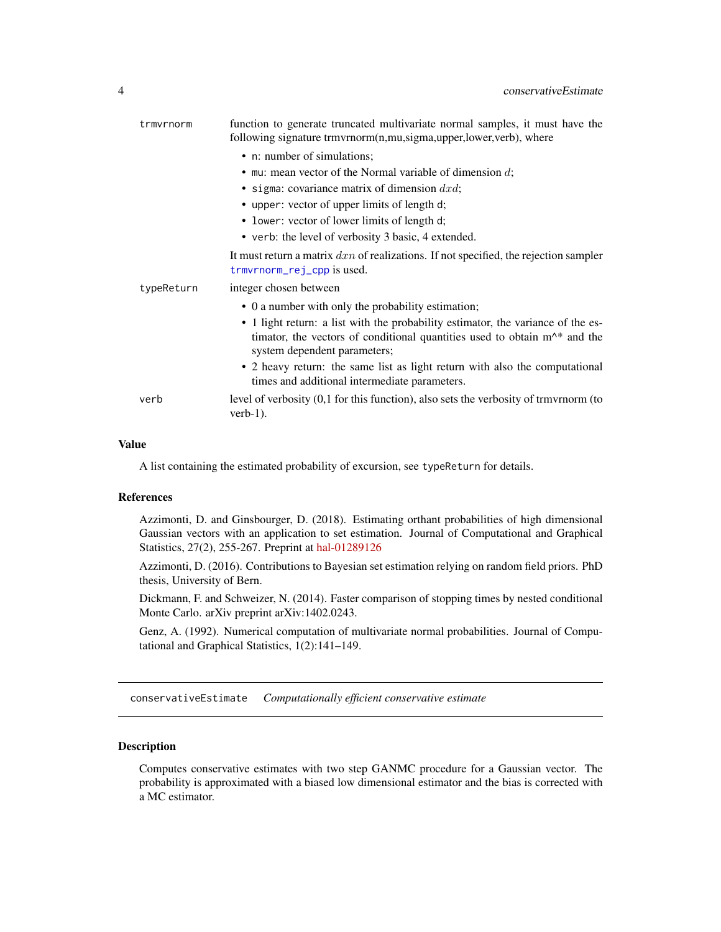<span id="page-3-0"></span>

| trmvrnorm  | function to generate truncated multivariate normal samples, it must have the<br>following signature trmvrnorm(n,mu,sigma,upper,lower,verb), where                                               |
|------------|-------------------------------------------------------------------------------------------------------------------------------------------------------------------------------------------------|
|            | • n: number of simulations;                                                                                                                                                                     |
|            | $\bullet$ mu: mean vector of the Normal variable of dimension $d$ ;                                                                                                                             |
|            | • sigma: covariance matrix of dimension $dx \, dy$ ;                                                                                                                                            |
|            | • upper: vector of upper limits of length d;                                                                                                                                                    |
|            | • lower: vector of lower limits of length d;                                                                                                                                                    |
|            | • verb: the level of verbosity 3 basic, 4 extended.                                                                                                                                             |
|            | It must return a matrix $dx_n$ of realizations. If not specified, the rejection sampler<br>trmvrnorm_rej_cpp is used.                                                                           |
| typeReturn | integer chosen between                                                                                                                                                                          |
|            | • 0 a number with only the probability estimation;                                                                                                                                              |
|            | • 1 light return: a list with the probability estimator, the variance of the es-<br>timator, the vectors of conditional quantities used to obtain $m^*$ and the<br>system dependent parameters; |
|            | • 2 heavy return: the same list as light return with also the computational<br>times and additional intermediate parameters.                                                                    |
| verb       | level of verbosity $(0,1)$ for this function), also sets the verbosity of trmvrnorm (to<br>$verb-1).$                                                                                           |

# Value

A list containing the estimated probability of excursion, see typeReturn for details.

# References

Azzimonti, D. and Ginsbourger, D. (2018). Estimating orthant probabilities of high dimensional Gaussian vectors with an application to set estimation. Journal of Computational and Graphical Statistics, 27(2), 255-267. Preprint at [hal-01289126](https://hal.archives-ouvertes.fr/hal-01289126)

Azzimonti, D. (2016). Contributions to Bayesian set estimation relying on random field priors. PhD thesis, University of Bern.

Dickmann, F. and Schweizer, N. (2014). Faster comparison of stopping times by nested conditional Monte Carlo. arXiv preprint arXiv:1402.0243.

Genz, A. (1992). Numerical computation of multivariate normal probabilities. Journal of Computational and Graphical Statistics, 1(2):141–149.

<span id="page-3-1"></span>conservativeEstimate *Computationally efficient conservative estimate*

# Description

Computes conservative estimates with two step GANMC procedure for a Gaussian vector. The probability is approximated with a biased low dimensional estimator and the bias is corrected with a MC estimator.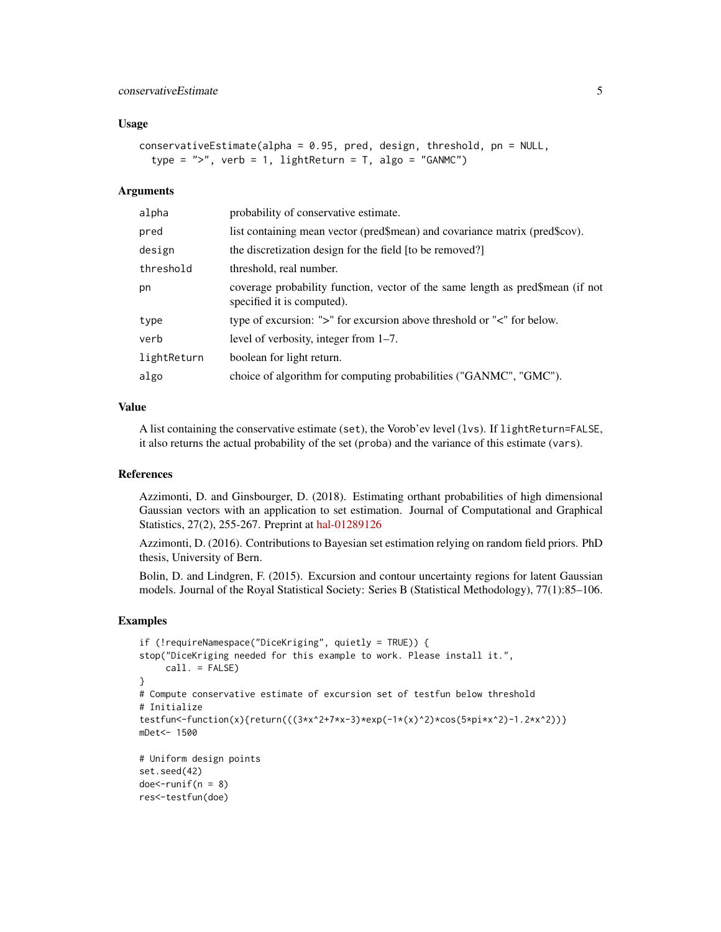# Usage

```
conservativeEstimate(alpha = 0.95, pred, design, threshold, pn = NULL,
  type = ", verb = 1, lightReturn = T, algo = "GANMC")
```
#### Arguments

| alpha       | probability of conservative estimate.                                                                        |
|-------------|--------------------------------------------------------------------------------------------------------------|
| pred        | list containing mean vector (pred\$mean) and covariance matrix (pred\$cov).                                  |
| design      | the discretization design for the field [to be removed?]                                                     |
| threshold   | threshold, real number.                                                                                      |
| pn          | coverage probability function, vector of the same length as pred\$mean (if not<br>specified it is computed). |
| type        | type of excursion: ">" for excursion above threshold or "<" for below.                                       |
| verb        | level of verbosity, integer from $1-7$ .                                                                     |
| lightReturn | boolean for light return.                                                                                    |
| algo        | choice of algorithm for computing probabilities ("GANMC", "GMC").                                            |
|             |                                                                                                              |

# Value

A list containing the conservative estimate (set), the Vorob'ev level (lvs). If lightReturn=FALSE, it also returns the actual probability of the set (proba) and the variance of this estimate (vars).

# References

Azzimonti, D. and Ginsbourger, D. (2018). Estimating orthant probabilities of high dimensional Gaussian vectors with an application to set estimation. Journal of Computational and Graphical Statistics, 27(2), 255-267. Preprint at [hal-01289126](https://hal.archives-ouvertes.fr/hal-01289126)

Azzimonti, D. (2016). Contributions to Bayesian set estimation relying on random field priors. PhD thesis, University of Bern.

Bolin, D. and Lindgren, F. (2015). Excursion and contour uncertainty regions for latent Gaussian models. Journal of the Royal Statistical Society: Series B (Statistical Methodology), 77(1):85–106.

```
if (!requireNamespace("DiceKriging", quietly = TRUE)) {
stop("DiceKriging needed for this example to work. Please install it.",
    call. = FALSE)
}
# Compute conservative estimate of excursion set of testfun below threshold
# Initialize
testfun<-function(x){return(((3*x^2+7*x-3)*exp(-1*(x)^2)*cos(5*pi*x^2)-1.2*x^2))}
mDet<- 1500
# Uniform design points
set.seed(42)
doe<-runif(n = 8)
res<-testfun(doe)
```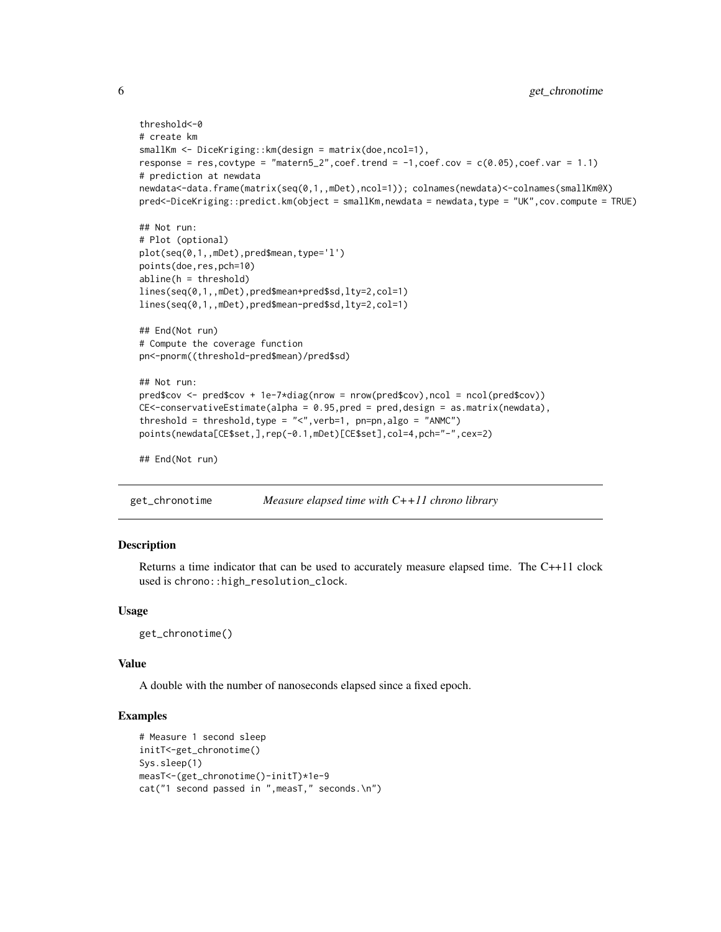```
threshold<-0
# create km
smallKm <- DiceKriging::km(design = matrix(doe,ncol=1),
response = res, covtype = "matern5_2", coef.trend = -1, coef.cov = c(0.05), coef.var = 1.1)
# prediction at newdata
newdata<-data.frame(matrix(seq(0,1,,mDet),ncol=1)); colnames(newdata)<-colnames(smallKm@X)
pred<-DiceKriging::predict.km(object = smallKm,newdata = newdata,type = "UK",cov.compute = TRUE)
## Not run:
# Plot (optional)
plot(seq(0,1,,mDet),pred$mean,type='l')
points(doe,res,pch=10)
abline(h = threshold)
lines(seq(0,1,,mDet),pred$mean+pred$sd,lty=2,col=1)
lines(seq(0,1,,mDet),pred$mean-pred$sd,lty=2,col=1)
## End(Not run)
# Compute the coverage function
pn<-pnorm((threshold-pred$mean)/pred$sd)
## Not run:
pred$cov <- pred$cov + 1e-7*diag(nrow = nrow(pred$cov),ncol = ncol(pred$cov))
CE<-conservativeEstimate(alpha = 0.95,pred = pred,design = as.matrix(newdata),
threshold = threshold, type = "<", verb=1, pn=pn, algo = "ANMC")
points(newdata[CE$set,],rep(-0.1,mDet)[CE$set],col=4,pch="-",cex=2)
## End(Not run)
```

```
get_chronotime Measure elapsed time with C++11 chrono library
```
# Description

Returns a time indicator that can be used to accurately measure elapsed time. The C++11 clock used is chrono::high\_resolution\_clock.

#### Usage

get\_chronotime()

#### Value

A double with the number of nanoseconds elapsed since a fixed epoch.

```
# Measure 1 second sleep
initT<-get_chronotime()
Sys.sleep(1)
measT<-(get_chronotime()-initT)*1e-9
cat("1 second passed in ",measT," seconds.\n")
```
<span id="page-5-0"></span>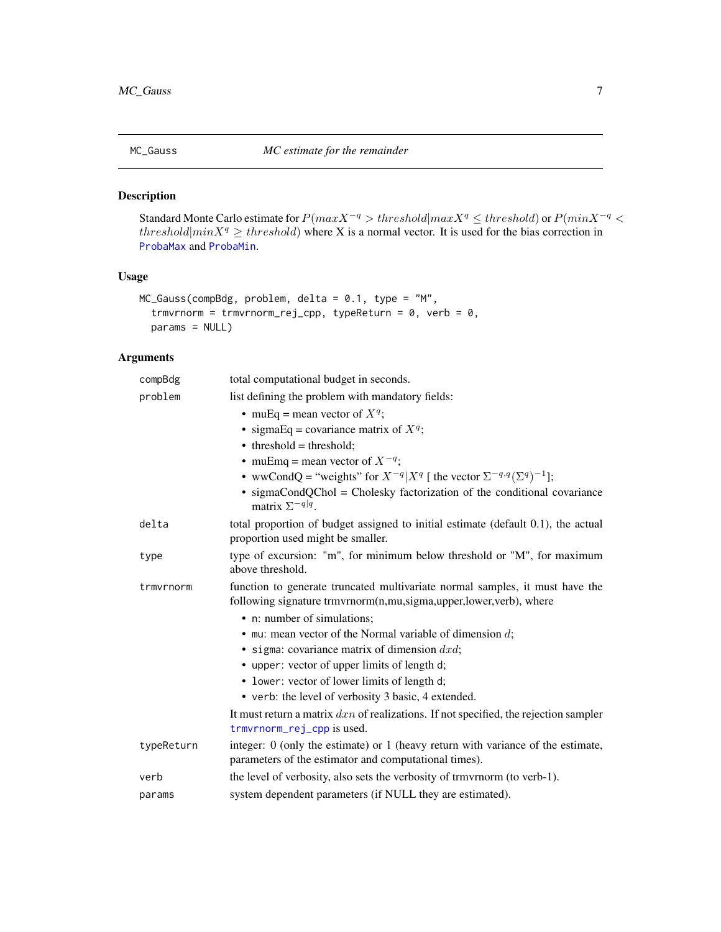<span id="page-6-1"></span><span id="page-6-0"></span>

# Description

Standard Monte Carlo estimate for  $P(max X^{-q} > threshold|max X^{q} \leq threshold)$  or  $P(min X^{-q} <$ threshold|minX<sup>q</sup>  $\geq$  threshold) where X is a normal vector. It is used for the bias correction in [ProbaMax](#page-8-1) and [ProbaMin](#page-11-1).

# Usage

```
MC_Gauss(compBdg, problem, delta = 0.1, type = "M",
  trmvrnorm = trmvrnorm_rej_cpp, typeReturn = 0, verb = 0,
 params = NULL)
```

| compBdg    | total computational budget in seconds.                                                                                                            |
|------------|---------------------------------------------------------------------------------------------------------------------------------------------------|
| problem    | list defining the problem with mandatory fields:                                                                                                  |
|            | • muEq = mean vector of $X^q$ ;                                                                                                                   |
|            | • sigmaEq = covariance matrix of $X^q$ ;                                                                                                          |
|            | $\bullet$ threshold = threshold;                                                                                                                  |
|            | • muEmq = mean vector of $X^{-q}$ ;                                                                                                               |
|            | • wwCondQ = "weights" for $X^{-q} X^q $ the vector $\Sigma^{-q,q}(\Sigma^q)^{-1}$ ];                                                              |
|            | • sigmaCondQChol = Cholesky factorization of the conditional covariance<br>matrix $\Sigma^{-q q}$ .                                               |
| delta      | total proportion of budget assigned to initial estimate (default 0.1), the actual<br>proportion used might be smaller.                            |
| type       | type of excursion: "m", for minimum below threshold or "M", for maximum<br>above threshold.                                                       |
| trmvrnorm  | function to generate truncated multivariate normal samples, it must have the<br>following signature trmvrnorm(n,mu,sigma,upper,lower,verb), where |
|            | • n: number of simulations;                                                                                                                       |
|            | $\bullet$ mu: mean vector of the Normal variable of dimension d;                                                                                  |
|            | • sigma: covariance matrix of dimension $dx \, dy$ ;                                                                                              |
|            | • upper: vector of upper limits of length d;                                                                                                      |
|            | • lower: vector of lower limits of length d;                                                                                                      |
|            | • verb: the level of verbosity 3 basic, 4 extended.                                                                                               |
|            | It must return a matrix $dxn$ of realizations. If not specified, the rejection sampler<br>trmvrnorm_rej_cpp is used.                              |
| typeReturn | integer: $0$ (only the estimate) or $1$ (heavy return with variance of the estimate,<br>parameters of the estimator and computational times).     |
| verb       | the level of verbosity, also sets the verbosity of trmvrnorm (to verb-1).                                                                         |
| params     | system dependent parameters (if NULL they are estimated).                                                                                         |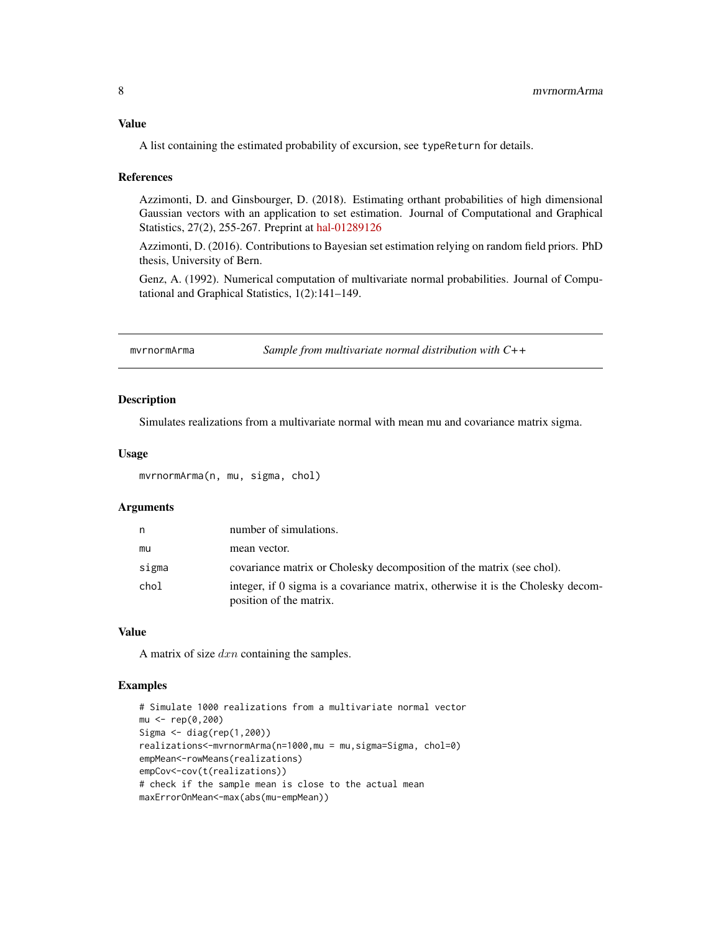# <span id="page-7-0"></span>Value

A list containing the estimated probability of excursion, see typeReturn for details.

#### References

Azzimonti, D. and Ginsbourger, D. (2018). Estimating orthant probabilities of high dimensional Gaussian vectors with an application to set estimation. Journal of Computational and Graphical Statistics, 27(2), 255-267. Preprint at [hal-01289126](https://hal.archives-ouvertes.fr/hal-01289126)

Azzimonti, D. (2016). Contributions to Bayesian set estimation relying on random field priors. PhD thesis, University of Bern.

Genz, A. (1992). Numerical computation of multivariate normal probabilities. Journal of Computational and Graphical Statistics, 1(2):141–149.

mvrnormArma *Sample from multivariate normal distribution with C++*

# Description

Simulates realizations from a multivariate normal with mean mu and covariance matrix sigma.

# Usage

mvrnormArma(n, mu, sigma, chol)

# Arguments

| n     | number of simulations.                                                                                     |
|-------|------------------------------------------------------------------------------------------------------------|
| mu    | mean vector.                                                                                               |
| sigma | covariance matrix or Cholesky decomposition of the matrix (see chol).                                      |
| chol  | integer, if 0 sigma is a covariance matrix, otherwise it is the Cholesky decom-<br>position of the matrix. |

# Value

A matrix of size  $dx_n$  containing the samples.

```
# Simulate 1000 realizations from a multivariate normal vector
mu <- rep(0,200)
Sigma <- diag(rep(1,200))
realizations<-mvrnormArma(n=1000,mu = mu,sigma=Sigma, chol=0)
empMean<-rowMeans(realizations)
empCov<-cov(t(realizations))
# check if the sample mean is close to the actual mean
maxErrorOnMean<-max(abs(mu-empMean))
```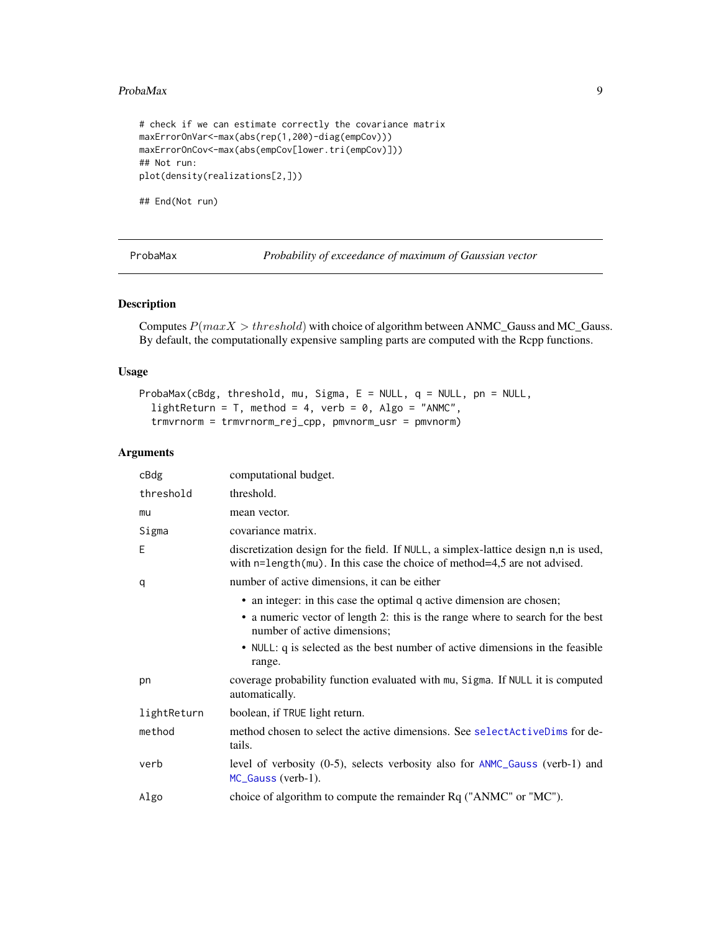# <span id="page-8-0"></span>ProbaMax 9

```
# check if we can estimate correctly the covariance matrix
maxErrorOnVar<-max(abs(rep(1,200)-diag(empCov)))
maxErrorOnCov<-max(abs(empCov[lower.tri(empCov)]))
## Not run:
plot(density(realizations[2,]))
## End(Not run)
```
<span id="page-8-1"></span>

ProbaMax *Probability of exceedance of maximum of Gaussian vector*

# Description

Computes  $P(maxX > threshold)$  with choice of algorithm between ANMC\_Gauss and MC\_Gauss. By default, the computationally expensive sampling parts are computed with the Rcpp functions.

# Usage

```
ProbaMax(cBdg, threshold, mu, Sigma, E = NULL, q = NULL, pn = NULL,
  lightReturn = T, method = 4, verb = 0, Algo = "ANMC",
  trmvrnorm = trmvrnorm_rej_cpp, pmvnorm_usr = pmvnorm)
```

| cBdg        | computational budget.                                                                                                                                                                   |
|-------------|-----------------------------------------------------------------------------------------------------------------------------------------------------------------------------------------|
| threshold   | threshold.                                                                                                                                                                              |
| mu          | mean vector.                                                                                                                                                                            |
| Sigma       | covariance matrix.                                                                                                                                                                      |
| Ε           | discretization design for the field. If NULL, a simplex-lattice design n,n is used,<br>with $n =$ length( $mu$ ). In this case the choice of method=4,5 are not advised.                |
| q           | number of active dimensions, it can be either                                                                                                                                           |
|             | • an integer: in this case the optimal q active dimension are chosen;<br>• a numeric vector of length 2: this is the range where to search for the best<br>number of active dimensions; |
|             | • NULL: q is selected as the best number of active dimensions in the feasible<br>range.                                                                                                 |
| pn          | coverage probability function evaluated with mu, Sigma. If NULL it is computed<br>automatically.                                                                                        |
| lightReturn | boolean, if TRUE light return.                                                                                                                                                          |
| method      | method chosen to select the active dimensions. See select ActiveDims for de-<br>tails.                                                                                                  |
| verb        | level of verbosity (0-5), selects verbosity also for ANMC_Gauss (verb-1) and<br>MC_Gauss (verb-1).                                                                                      |
| Algo        | choice of algorithm to compute the remainder Rq ("ANMC" or "MC").                                                                                                                       |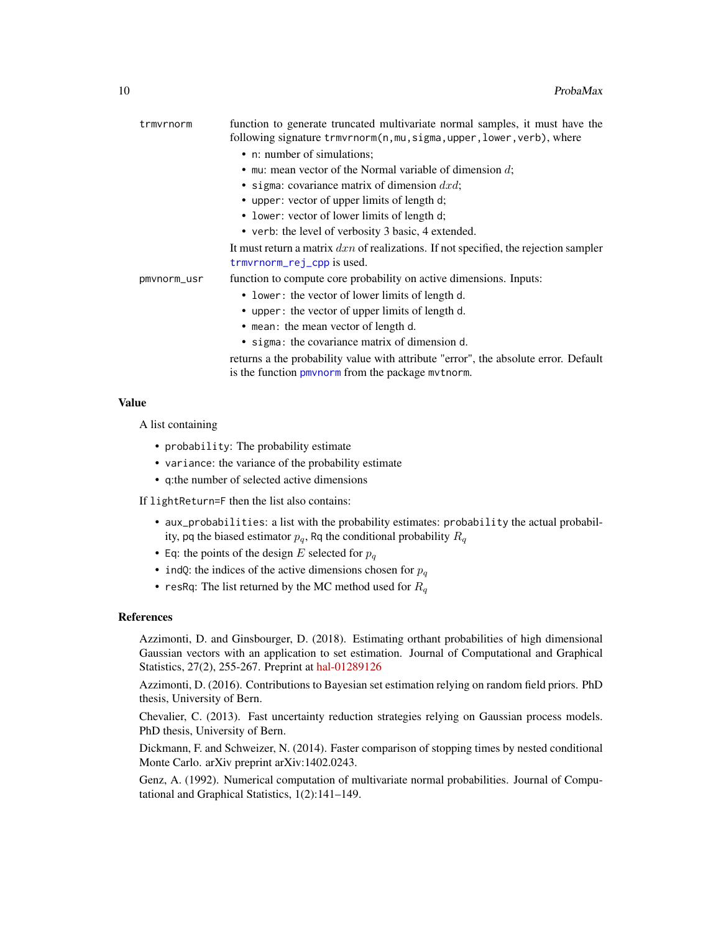<span id="page-9-0"></span>

| trmvrnorm   | function to generate truncated multivariate normal samples, it must have the<br>following signature trmvrnorm(n, mu, sigma, upper, lower, verb), where |
|-------------|--------------------------------------------------------------------------------------------------------------------------------------------------------|
|             | • n: number of simulations;                                                                                                                            |
|             | • mu: mean vector of the Normal variable of dimension $d$ ;                                                                                            |
|             | • sigma: covariance matrix of dimension $dx\,dx$ ;                                                                                                     |
|             | • upper: vector of upper limits of length d;                                                                                                           |
|             | • lower: vector of lower limits of length d;                                                                                                           |
|             | • verb: the level of verbosity 3 basic, 4 extended.                                                                                                    |
|             | It must return a matrix $dxn$ of realizations. If not specified, the rejection sampler<br>trmvrnorm_rej_cpp is used.                                   |
| pmvnorm_usr | function to compute core probability on active dimensions. Inputs:                                                                                     |
|             | • lower: the vector of lower limits of length d.                                                                                                       |
|             | • upper: the vector of upper limits of length d.                                                                                                       |
|             | • mean: the mean vector of length d.                                                                                                                   |
|             | • sigma: the covariance matrix of dimension d.                                                                                                         |
|             | returns a the probability value with attribute "error", the absolute error. Default                                                                    |

is the function [pmvnorm](#page-0-0) from the package mvtnorm.

Value

A list containing

- probability: The probability estimate
- variance: the variance of the probability estimate
- q:the number of selected active dimensions

If lightReturn=F then the list also contains:

- aux\_probabilities: a list with the probability estimates: probability the actual probability, pq the biased estimator  $p_q$ , Rq the conditional probability  $R_q$
- Eq: the points of the design E selected for  $p_q$
- indQ: the indices of the active dimensions chosen for  $p_q$
- resRq: The list returned by the MC method used for  $R_q$

#### References

Azzimonti, D. and Ginsbourger, D. (2018). Estimating orthant probabilities of high dimensional Gaussian vectors with an application to set estimation. Journal of Computational and Graphical Statistics, 27(2), 255-267. Preprint at [hal-01289126](https://hal.archives-ouvertes.fr/hal-01289126)

Azzimonti, D. (2016). Contributions to Bayesian set estimation relying on random field priors. PhD thesis, University of Bern.

Chevalier, C. (2013). Fast uncertainty reduction strategies relying on Gaussian process models. PhD thesis, University of Bern.

Dickmann, F. and Schweizer, N. (2014). Faster comparison of stopping times by nested conditional Monte Carlo. arXiv preprint arXiv:1402.0243.

Genz, A. (1992). Numerical computation of multivariate normal probabilities. Journal of Computational and Graphical Statistics, 1(2):141–149.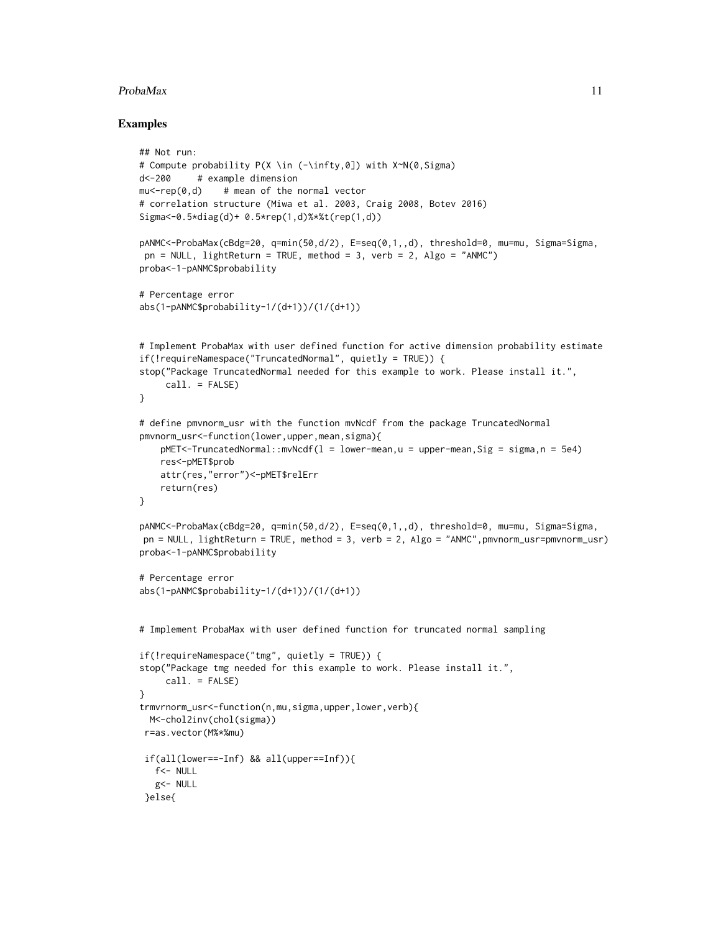# $ProbaMax$  11

```
## Not run:
# Compute probability P(X \in (-\infty,0]) with X~N(0,Sigma)
d<-200 # example dimension
mu < -rep(0, d) # mean of the normal vector
# correlation structure (Miwa et al. 2003, Craig 2008, Botev 2016)
Sigma<-0.5*diag(d)+ 0.5*rep(1,d)%*%t(rep(1,d))
pANMC<-ProbaMax(cBdg=20, q=min(50,d/2), E=seq(0,1,,d), threshold=0, mu=mu, Sigma=Sigma,
pn = NULL, lightReturn = TRUE, method = 3, verb = 2, Algo = "ANMC")
proba<-1-pANMC$probability
# Percentage error
abs(1-pANMC$probability-1/(d+1))/(1/(d+1))
# Implement ProbaMax with user defined function for active dimension probability estimate
if(!requireNamespace("TruncatedNormal", quietly = TRUE)) {
stop("Package TruncatedNormal needed for this example to work. Please install it.",
     call. = FALSE)
}
# define pmvnorm_usr with the function mvNcdf from the package TruncatedNormal
pmvnorm_usr<-function(lower,upper,mean,sigma){
   pMET<-TruncatedNormal::mvNcdf(1 = lower-mean,u = upper-mean, Sig = sigma, n = 5e4)
   res<-pMET$prob
   attr(res,"error")<-pMET$relErr
   return(res)
}
pANMC<-ProbaMax(cBdg=20, q=min(50,d/2), E=seq(0,1,,d), threshold=0, mu=mu, Sigma=Sigma,
pn = NULL, lightReturn = TRUE, method = 3, verb = 2, Algo = "ANMC",pmvnorm_usr=pmvnorm_usr)
proba<-1-pANMC$probability
# Percentage error
abs(1-pANMC$probability-1/(d+1))/(1/(d+1))
# Implement ProbaMax with user defined function for truncated normal sampling
if(!requireNamespace("tmg", quietly = TRUE)) {
stop("Package tmg needed for this example to work. Please install it.",
     call. = FALSE)
}
trmvrnorm_usr<-function(n,mu,sigma,upper,lower,verb){
 M<-chol2inv(chol(sigma))
r=as.vector(M%*%mu)
 if(all(lower==-Inf) && all(upper==Inf)){
  f<- NULL
  g<- NULL
 }else{
```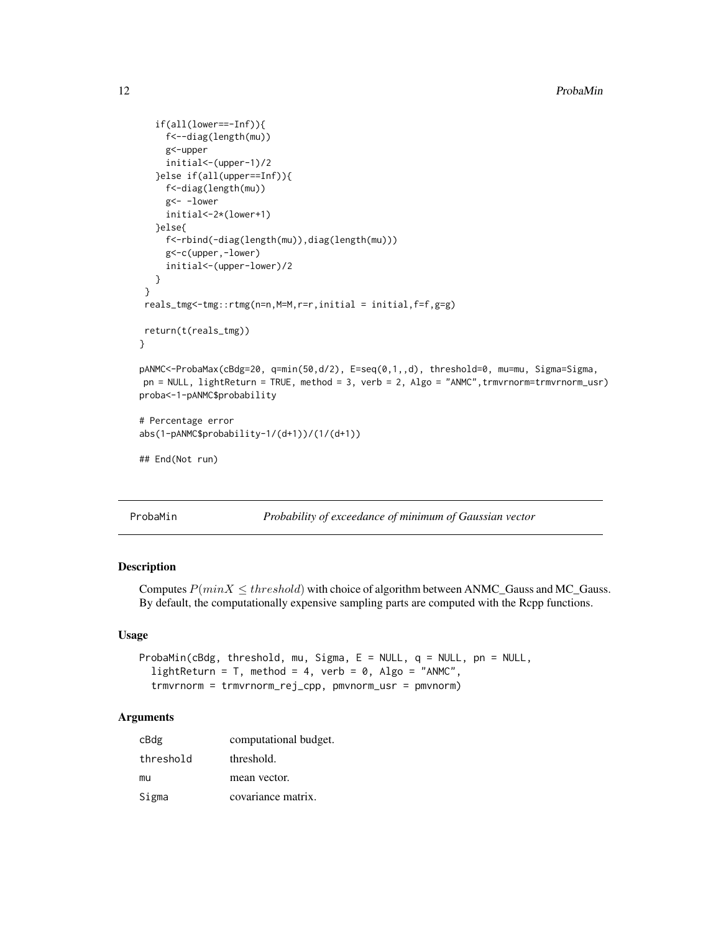```
if(all(lower==-Inf)){
    f<--diag(length(mu))
     g<-upper
     initial<-(upper-1)/2
   }else if(all(upper==Inf)){
    f<-diag(length(mu))
     g<- -lower
     initial<-2*(lower+1)
  }else{
     f<-rbind(-diag(length(mu)),diag(length(mu)))
     g<-c(upper,-lower)
     initial<-(upper-lower)/2
  }
 }
reals_tmg<-tmg::rtmg(n=n,M=M,r=r,initial = initial,f=f,g=g)
return(t(reals_tmg))
}
pANMC<-ProbaMax(cBdg=20, q=min(50,d/2), E=seq(0,1,,d), threshold=0, mu=mu, Sigma=Sigma,
pn = NULL, lightReturn = TRUE, method = 3, verb = 2, Algo = "ANMC",trmvrnorm=trmvrnorm_usr)
proba<-1-pANMC$probability
# Percentage error
abs(1-pANMC$probability-1/(d+1))/(1/(d+1))
## End(Not run)
```
<span id="page-11-1"></span>ProbaMin *Probability of exceedance of minimum of Gaussian vector*

# Description

Computes  $P(minX \leq threshold)$  with choice of algorithm between ANMC\_Gauss and MC\_Gauss. By default, the computationally expensive sampling parts are computed with the Rcpp functions.

# Usage

```
ProbaMin(cBdg, threshold, mu, Sigma, E = NULL, q = NULL, pn = NULL,
  lightReturn = T, method = 4, verb = 0, Algo = "ANMC",
  trmvrnorm = trmvrnorm_rej_cpp, pmvnorm_usr = pmvnorm)
```

| cBdg      | computational budget. |
|-----------|-----------------------|
| threshold | threshold.            |
| mu        | mean vector.          |
| Sigma     | covariance matrix.    |

<span id="page-11-0"></span>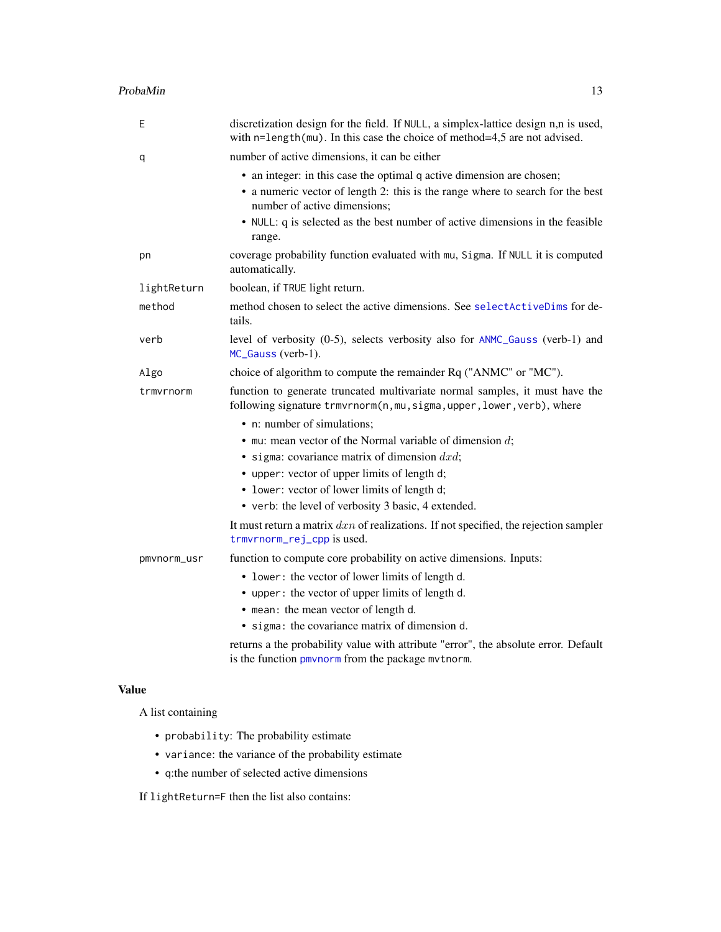# <span id="page-12-0"></span>ProbaMin 13

| Ε           | discretization design for the field. If NULL, a simplex-lattice design n,n is used,<br>with n=length(mu). In this case the choice of method=4,5 are not advised.                        |
|-------------|-----------------------------------------------------------------------------------------------------------------------------------------------------------------------------------------|
| q           | number of active dimensions, it can be either                                                                                                                                           |
|             | • an integer: in this case the optimal q active dimension are chosen;<br>• a numeric vector of length 2: this is the range where to search for the best<br>number of active dimensions; |
|             | • NULL: q is selected as the best number of active dimensions in the feasible<br>range.                                                                                                 |
| pn          | coverage probability function evaluated with mu, Sigma. If NULL it is computed<br>automatically.                                                                                        |
| lightReturn | boolean, if TRUE light return.                                                                                                                                                          |
| method      | method chosen to select the active dimensions. See select ActiveDims for de-<br>tails.                                                                                                  |
| verb        | level of verbosity (0-5), selects verbosity also for ANMC_Gauss (verb-1) and<br>MC_Gauss (verb-1).                                                                                      |
| Algo        | choice of algorithm to compute the remainder Rq ("ANMC" or "MC").                                                                                                                       |
| trmvrnorm   | function to generate truncated multivariate normal samples, it must have the<br>following signature trmvrnorm(n, mu, sigma, upper, lower, verb), where                                  |
|             | • n: number of simulations;                                                                                                                                                             |
|             | $\bullet$ mu: mean vector of the Normal variable of dimension d;                                                                                                                        |
|             | • sigma: covariance matrix of dimension $dx/d$ ;                                                                                                                                        |
|             | • upper: vector of upper limits of length d;                                                                                                                                            |
|             | • lower: vector of lower limits of length d;                                                                                                                                            |
|             | • verb: the level of verbosity 3 basic, 4 extended.                                                                                                                                     |
|             | It must return a matrix $dxn$ of realizations. If not specified, the rejection sampler<br>trmvrnorm_rej_cpp is used.                                                                    |
| pmvnorm_usr | function to compute core probability on active dimensions. Inputs:                                                                                                                      |
|             | • lower: the vector of lower limits of length d.                                                                                                                                        |
|             | • upper: the vector of upper limits of length d.                                                                                                                                        |
|             | • mean: the mean vector of length d.                                                                                                                                                    |
|             | • sigma: the covariance matrix of dimension d.                                                                                                                                          |
|             | returns a the probability value with attribute "error", the absolute error. Default                                                                                                     |

is the function [pmvnorm](#page-0-0) from the package mvtnorm.

# Value

A list containing

- probability: The probability estimate
- variance: the variance of the probability estimate
- q:the number of selected active dimensions

If lightReturn=F then the list also contains: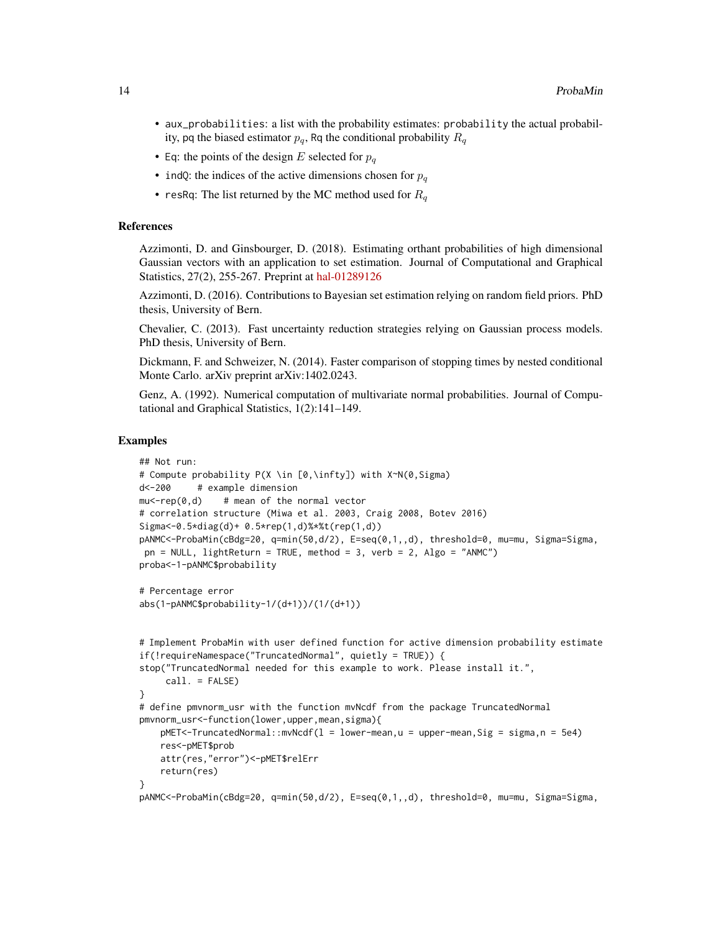- aux\_probabilities: a list with the probability estimates: probability the actual probability, pq the biased estimator  $p_q$ , Rq the conditional probability  $R_q$
- Eq: the points of the design E selected for  $p_q$
- indQ: the indices of the active dimensions chosen for  $p_q$
- resRq: The list returned by the MC method used for  $R_q$

# References

Azzimonti, D. and Ginsbourger, D. (2018). Estimating orthant probabilities of high dimensional Gaussian vectors with an application to set estimation. Journal of Computational and Graphical Statistics, 27(2), 255-267. Preprint at [hal-01289126](https://hal.archives-ouvertes.fr/hal-01289126)

Azzimonti, D. (2016). Contributions to Bayesian set estimation relying on random field priors. PhD thesis, University of Bern.

Chevalier, C. (2013). Fast uncertainty reduction strategies relying on Gaussian process models. PhD thesis, University of Bern.

Dickmann, F. and Schweizer, N. (2014). Faster comparison of stopping times by nested conditional Monte Carlo. arXiv preprint arXiv:1402.0243.

Genz, A. (1992). Numerical computation of multivariate normal probabilities. Journal of Computational and Graphical Statistics, 1(2):141–149.

```
## Not run:
# Compute probability P(X \in [0,\infty]) with X~N(0,Sigma)
d<-200 # example dimension
mu < -rep(0, d) # mean of the normal vector
# correlation structure (Miwa et al. 2003, Craig 2008, Botev 2016)
Sigma<-0.5*diag(d)+ 0.5*rep(1,d)%*%t(rep(1,d))
pANMC<-ProbaMin(cBdg=20, q=min(50,d/2), E=seq(0,1,,d), threshold=0, mu=mu, Sigma=Sigma,
pn = NULL, lightReturn = TRUE, method = 3, verb = 2, Algo = "ANMC")
proba<-1-pANMC$probability
# Percentage error
abs(1-pANMC$probability-1/(d+1))/(1/(d+1))
# Implement ProbaMin with user defined function for active dimension probability estimate
if(!requireNamespace("TruncatedNormal", quietly = TRUE)) {
stop("TruncatedNormal needed for this example to work. Please install it.",
     call. = FALSE)
}
# define pmvnorm_usr with the function mvNcdf from the package TruncatedNormal
pmvnorm_usr<-function(lower,upper,mean,sigma){
   pMET<-TruncatedNormal::mvNcdf(l = lower-mean,u = upper-mean,Sig = sigma,n = 5e4)
    res<-pMET$prob
   attr(res,"error")<-pMET$relErr
   return(res)
}
pANMC<-ProbaMin(cBdg=20, q=min(50,d/2), E=seq(0,1,,d), threshold=0, mu=mu, Sigma=Sigma,
```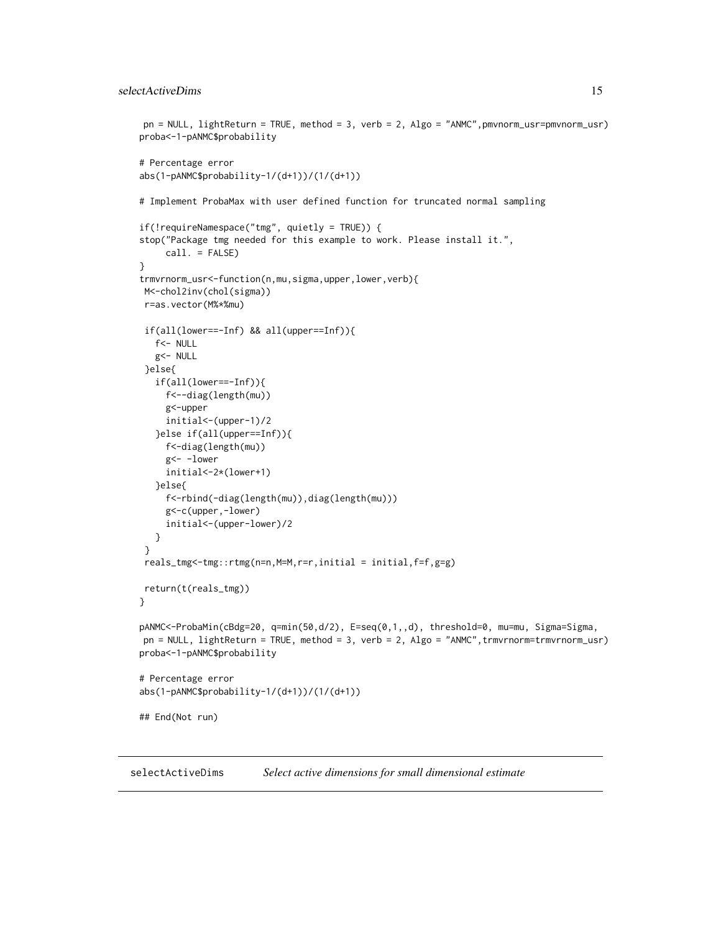```
pn = NULL, lightReturn = TRUE, method = 3, verb = 2, Algo = "ANMC", pmvnorm_usr=pmvnorm_usr)
proba<-1-pANMC$probability
# Percentage error
abs(1-pANMC$probability-1/(d+1))/(1/(d+1))
# Implement ProbaMax with user defined function for truncated normal sampling
if(!requireNamespace("tmg", quietly = TRUE)) {
stop("Package tmg needed for this example to work. Please install it.",
     call. = FALSE)
}
trmvrnorm_usr<-function(n,mu,sigma,upper,lower,verb){
M<-chol2inv(chol(sigma))
r=as.vector(M%*%mu)
if(all(lower==-Inf) && all(upper==Inf)){
  f<- NULL
  g<- NULL
 }else{
   if(all(lower==-Inf)){
    f<--diag(length(mu))
    g<-upper
    initial<-(upper-1)/2
   }else if(all(upper==Inf)){
     f<-diag(length(mu))
     g<- -lower
     initial<-2*(lower+1)
  }else{
    f<-rbind(-diag(length(mu)),diag(length(mu)))
     g<-c(upper,-lower)
     initial<-(upper-lower)/2
  }
}
reals_tmg<-tmg::rtmg(n=n,M=M,r=r,initial = initial,f=f,g=g)
return(t(reals_tmg))
}
pANMC<-ProbaMin(cBdg=20, q=min(50,d/2), E=seq(0,1,,d), threshold=0, mu=mu, Sigma=Sigma,
pn = NULL, lightReturn = TRUE, method = 3, verb = 2, Algo = "ANMC",trmvrnorm=trmvrnorm_usr)
proba<-1-pANMC$probability
# Percentage error
abs(1-pANMC$probability-1/(d+1))/(1/(d+1))
## End(Not run)
```
<span id="page-14-1"></span>selectActiveDims *Select active dimensions for small dimensional estimate*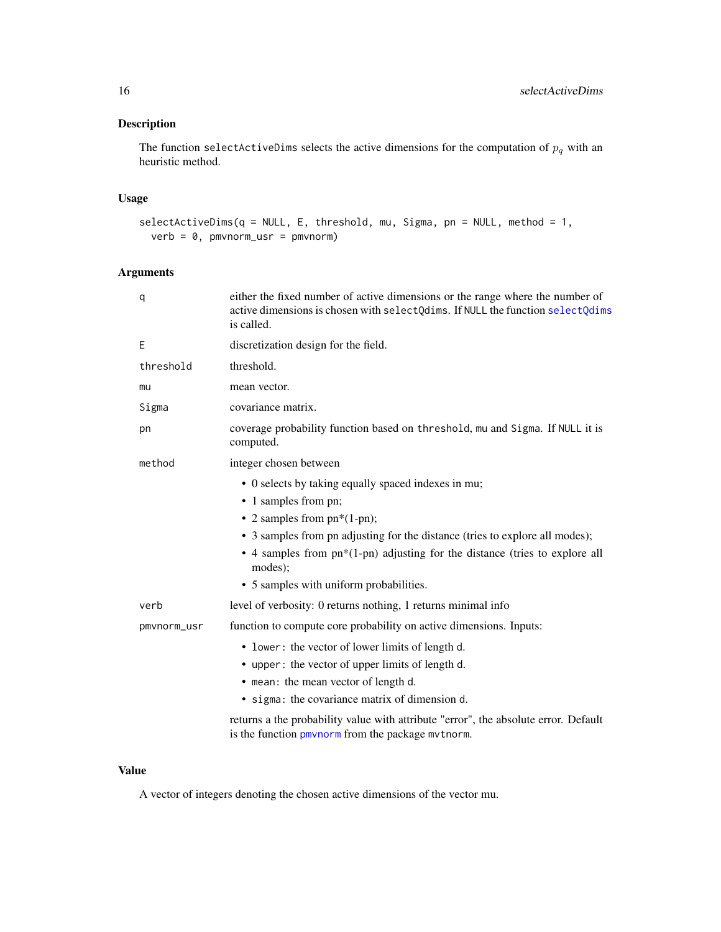# <span id="page-15-0"></span>Description

The function selectActiveDims selects the active dimensions for the computation of  $p_q$  with an heuristic method.

# Usage

```
selectActiveDims(q = NULL, E, threshold, mu, Sigma, pn = NULL, method = 1,
 verb = 0, pmvnorm_usr = pmvnorm)
```
# Arguments

| q           | either the fixed number of active dimensions or the range where the number of<br>active dimensions is chosen with selectQdims. If NULL the function selectQdims<br>is called. |
|-------------|-------------------------------------------------------------------------------------------------------------------------------------------------------------------------------|
| Ε           | discretization design for the field.                                                                                                                                          |
| threshold   | threshold.                                                                                                                                                                    |
| mu          | mean vector.                                                                                                                                                                  |
| Sigma       | covariance matrix.                                                                                                                                                            |
| pn          | coverage probability function based on threshold, mu and Sigma. If NULL it is<br>computed.                                                                                    |
| method      | integer chosen between                                                                                                                                                        |
|             | • 0 selects by taking equally spaced indexes in mu;                                                                                                                           |
|             | • 1 samples from pn;                                                                                                                                                          |
|             | • 2 samples from $pn*(1-pn)$ ;                                                                                                                                                |
|             | • 3 samples from pn adjusting for the distance (tries to explore all modes);                                                                                                  |
|             | • 4 samples from $pn*(1-pn)$ adjusting for the distance (tries to explore all<br>modes);                                                                                      |
|             | • 5 samples with uniform probabilities.                                                                                                                                       |
| verb        | level of verbosity: 0 returns nothing, 1 returns minimal info                                                                                                                 |
| pmvnorm_usr | function to compute core probability on active dimensions. Inputs:                                                                                                            |
|             | • lower: the vector of lower limits of length d.                                                                                                                              |
|             | • upper: the vector of upper limits of length d.                                                                                                                              |
|             | • mean: the mean vector of length d.                                                                                                                                          |
|             | • sigma: the covariance matrix of dimension d.                                                                                                                                |
|             | returns a the probability value with attribute "error", the absolute error. Default<br>is the function pmynorm from the package mythorm.                                      |

# Value

A vector of integers denoting the chosen active dimensions of the vector mu.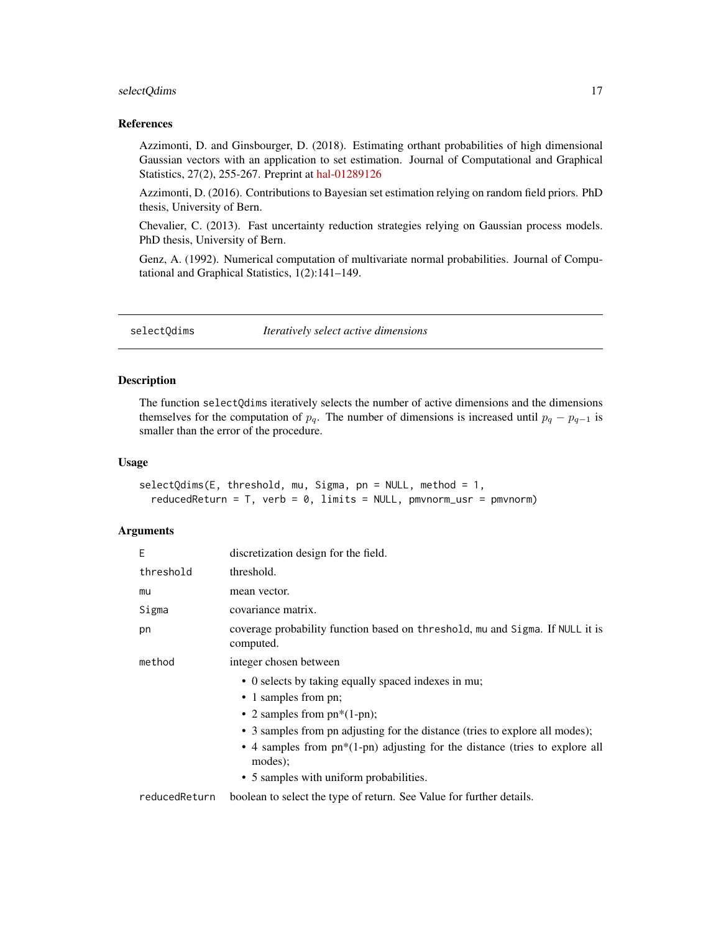# <span id="page-16-0"></span>selectQdims 17

# References

Azzimonti, D. and Ginsbourger, D. (2018). Estimating orthant probabilities of high dimensional Gaussian vectors with an application to set estimation. Journal of Computational and Graphical Statistics, 27(2), 255-267. Preprint at [hal-01289126](https://hal.archives-ouvertes.fr/hal-01289126)

Azzimonti, D. (2016). Contributions to Bayesian set estimation relying on random field priors. PhD thesis, University of Bern.

Chevalier, C. (2013). Fast uncertainty reduction strategies relying on Gaussian process models. PhD thesis, University of Bern.

Genz, A. (1992). Numerical computation of multivariate normal probabilities. Journal of Computational and Graphical Statistics, 1(2):141–149.

<span id="page-16-1"></span>selectQdims *Iteratively select active dimensions*

# Description

The function selectQdims iteratively selects the number of active dimensions and the dimensions themselves for the computation of  $p_q$ . The number of dimensions is increased until  $p_q - p_{q-1}$  is smaller than the error of the procedure.

# Usage

```
selectQdims(E, threshold, mu, Sigma, pn = NULL, method = 1,
  reducedReturn = T, verb = 0, limits = NULL, pmvnorm_usr = pmvnorm)
```

| E             | discretization design for the field.                                                                                                                                                                                                                                                                                                 |
|---------------|--------------------------------------------------------------------------------------------------------------------------------------------------------------------------------------------------------------------------------------------------------------------------------------------------------------------------------------|
| threshold     | threshold.                                                                                                                                                                                                                                                                                                                           |
| mu            | mean vector.                                                                                                                                                                                                                                                                                                                         |
| Sigma         | covariance matrix.                                                                                                                                                                                                                                                                                                                   |
| pn            | coverage probability function based on threshold, mu and Sigma. If NULL it is<br>computed.                                                                                                                                                                                                                                           |
| method        | integer chosen between                                                                                                                                                                                                                                                                                                               |
|               | • 0 selects by taking equally spaced indexes in mu;<br>• 1 samples from pn;<br>• 2 samples from $pn*(1-pn)$ ;<br>• 3 samples from pn adjusting for the distance (tries to explore all modes);<br>• 4 samples from $pn*(1-pn)$ adjusting for the distance (tries to explore all<br>modes);<br>• 5 samples with uniform probabilities. |
| reducedReturn | boolean to select the type of return. See Value for further details.                                                                                                                                                                                                                                                                 |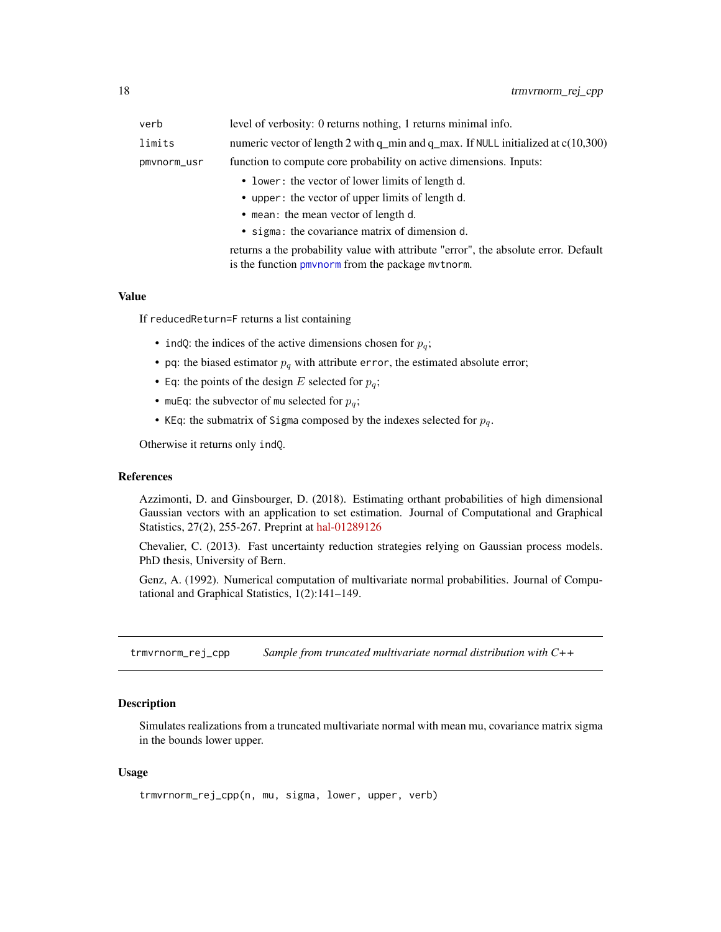<span id="page-17-0"></span>

| verb        | level of verbosity: 0 returns nothing, 1 returns minimal info.                          |
|-------------|-----------------------------------------------------------------------------------------|
| limits      | numeric vector of length 2 with $q$ min and $q$ max. If NULL initialized at $c(10,300)$ |
| pmvnorm_usr | function to compute core probability on active dimensions. Inputs:                      |
|             | • lower: the vector of lower limits of length d.                                        |
|             | • upper: the vector of upper limits of length d.                                        |
|             |                                                                                         |

- mean: the mean vector of length d.
- sigma: the covariance matrix of dimension d.

returns a the probability value with attribute "error", the absolute error. Default is the function [pmvnorm](#page-0-0) from the package mvtnorm.

# Value

If reducedReturn=F returns a list containing

- indQ: the indices of the active dimensions chosen for  $p_q$ ;
- pq: the biased estimator  $p_q$  with attribute error, the estimated absolute error;
- Eq: the points of the design E selected for  $p_q$ ;
- muEq: the subvector of mu selected for  $p_q$ ;
- KEq: the submatrix of Sigma composed by the indexes selected for  $p_q$ .

Otherwise it returns only indQ.

# **References**

Azzimonti, D. and Ginsbourger, D. (2018). Estimating orthant probabilities of high dimensional Gaussian vectors with an application to set estimation. Journal of Computational and Graphical Statistics, 27(2), 255-267. Preprint at [hal-01289126](https://hal.archives-ouvertes.fr/hal-01289126)

Chevalier, C. (2013). Fast uncertainty reduction strategies relying on Gaussian process models. PhD thesis, University of Bern.

Genz, A. (1992). Numerical computation of multivariate normal probabilities. Journal of Computational and Graphical Statistics, 1(2):141–149.

<span id="page-17-1"></span>trmvrnorm\_rej\_cpp *Sample from truncated multivariate normal distribution with C++*

# Description

Simulates realizations from a truncated multivariate normal with mean mu, covariance matrix sigma in the bounds lower upper.

# Usage

```
trmvrnorm_rej_cpp(n, mu, sigma, lower, upper, verb)
```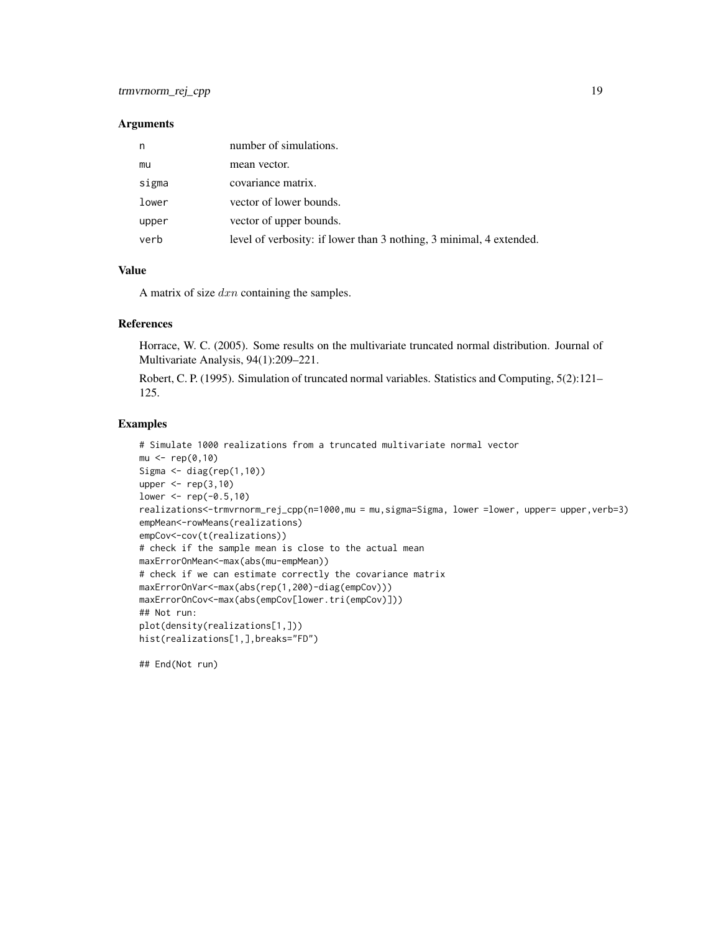# **Arguments**

| n     | number of simulations.                                              |
|-------|---------------------------------------------------------------------|
| mu    | mean vector.                                                        |
| sigma | covariance matrix.                                                  |
| lower | vector of lower bounds.                                             |
| upper | vector of upper bounds.                                             |
| verb  | level of verbosity: if lower than 3 nothing, 3 minimal, 4 extended. |

# Value

A matrix of size  $dx_n$  containing the samples.

# References

Horrace, W. C. (2005). Some results on the multivariate truncated normal distribution. Journal of Multivariate Analysis, 94(1):209–221.

Robert, C. P. (1995). Simulation of truncated normal variables. Statistics and Computing, 5(2):121– 125.

# Examples

```
# Simulate 1000 realizations from a truncated multivariate normal vector
mu < - rep(0,10)Sigma <- diag(rep(1,10))
upper \leq rep(3,10)
lower < -<sub>rep(-0.5,10)</sub>realizations<-trmvrnorm_rej_cpp(n=1000,mu = mu,sigma=Sigma, lower =lower, upper= upper,verb=3)
empMean<-rowMeans(realizations)
empCov<-cov(t(realizations))
# check if the sample mean is close to the actual mean
maxErrorOnMean<-max(abs(mu-empMean))
# check if we can estimate correctly the covariance matrix
maxErrorOnVar<-max(abs(rep(1,200)-diag(empCov)))
maxErrorOnCov<-max(abs(empCov[lower.tri(empCov)]))
## Not run:
plot(density(realizations[1,]))
hist(realizations[1,],breaks="FD")
```
## End(Not run)